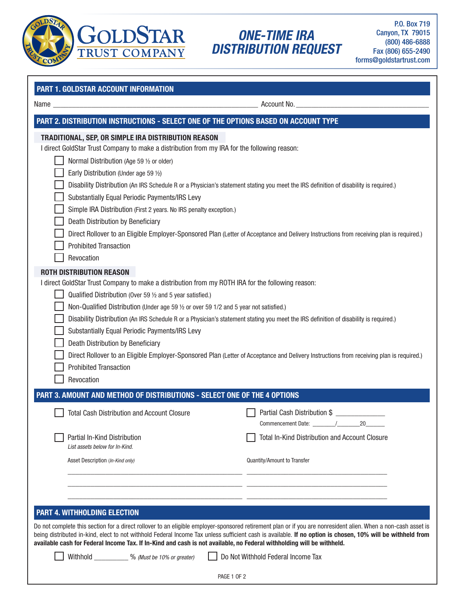

# ONE-TIME IRA DISTRIBUTION REQUEST

P.O. Box 719 Canyon, TX 79015 (800) 486-6888 Fax (806) 655-2490 forms@goldstartrust.com

| Name and the contract of the contract of the contract of the contract of the contract of the contract of the contract of the contract of the contract of the contract of the contract of the contract of the contract of the c | Account No.                                                                                                                                                    |
|--------------------------------------------------------------------------------------------------------------------------------------------------------------------------------------------------------------------------------|----------------------------------------------------------------------------------------------------------------------------------------------------------------|
|                                                                                                                                                                                                                                | PART 2. DISTRIBUTION INSTRUCTIONS - SELECT ONE OF THE OPTIONS BASED ON ACCOUNT TYPE                                                                            |
| TRADITIONAL, SEP, OR SIMPLE IRA DISTRIBUTION REASON                                                                                                                                                                            |                                                                                                                                                                |
| I direct GoldStar Trust Company to make a distribution from my IRA for the following reason:                                                                                                                                   |                                                                                                                                                                |
| Normal Distribution (Age 59 1/2 or older)                                                                                                                                                                                      |                                                                                                                                                                |
| Early Distribution (Under age 59 1/2)                                                                                                                                                                                          |                                                                                                                                                                |
|                                                                                                                                                                                                                                | Disability Distribution (An IRS Schedule R or a Physician's statement stating you meet the IRS definition of disability is required.)                          |
| Substantially Equal Periodic Payments/IRS Levy                                                                                                                                                                                 |                                                                                                                                                                |
| Simple IRA Distribution (First 2 years. No IRS penalty exception.)                                                                                                                                                             |                                                                                                                                                                |
| Death Distribution by Beneficiary                                                                                                                                                                                              |                                                                                                                                                                |
| <b>Prohibited Transaction</b>                                                                                                                                                                                                  | Direct Rollover to an Eligible Employer-Sponsored Plan (Letter of Acceptance and Delivery Instructions from receiving plan is required.)                       |
| Revocation                                                                                                                                                                                                                     |                                                                                                                                                                |
|                                                                                                                                                                                                                                |                                                                                                                                                                |
| <b>ROTH DISTRIBUTION REASON</b><br>I direct GoldStar Trust Company to make a distribution from my ROTH IRA for the following reason:                                                                                           |                                                                                                                                                                |
| Qualified Distribution (Over 59 $\frac{1}{2}$ and 5 year satisfied.)                                                                                                                                                           |                                                                                                                                                                |
| Non-Qualified Distribution (Under age 59 1/2 or over 59 1/2 and 5 year not satisfied.)                                                                                                                                         |                                                                                                                                                                |
|                                                                                                                                                                                                                                | Disability Distribution (An IRS Schedule R or a Physician's statement stating you meet the IRS definition of disability is required.)                          |
| Substantially Equal Periodic Payments/IRS Levy                                                                                                                                                                                 |                                                                                                                                                                |
| Death Distribution by Beneficiary                                                                                                                                                                                              |                                                                                                                                                                |
|                                                                                                                                                                                                                                | Direct Rollover to an Eligible Employer-Sponsored Plan (Letter of Acceptance and Delivery Instructions from receiving plan is required.)                       |
| <b>Prohibited Transaction</b>                                                                                                                                                                                                  |                                                                                                                                                                |
| Revocation                                                                                                                                                                                                                     |                                                                                                                                                                |
| PART 3. AMOUNT AND METHOD OF DISTRIBUTIONS - SELECT ONE OF THE 4 OPTIONS                                                                                                                                                       |                                                                                                                                                                |
| <b>Total Cash Distribution and Account Closure</b>                                                                                                                                                                             | Partial Cash Distribution \$                                                                                                                                   |
|                                                                                                                                                                                                                                | 20                                                                                                                                                             |
| Partial In-Kind Distribution                                                                                                                                                                                                   | <b>Total In-Kind Distribution and Account Closure</b>                                                                                                          |
| List assets below for In-Kind.                                                                                                                                                                                                 |                                                                                                                                                                |
| Asset Description (In-Kind only)                                                                                                                                                                                               | <b>Quantity/Amount to Transfer</b>                                                                                                                             |
|                                                                                                                                                                                                                                |                                                                                                                                                                |
|                                                                                                                                                                                                                                |                                                                                                                                                                |
|                                                                                                                                                                                                                                |                                                                                                                                                                |
| <b>PART 4. WITHHOLDING ELECTION</b>                                                                                                                                                                                            |                                                                                                                                                                |
|                                                                                                                                                                                                                                | Do not complete this section for a direct rollover to an eligible employer-sponsored retirement plan or if you are nonresident alien. When a non-cash asset is |
|                                                                                                                                                                                                                                | being distributed in-kind, elect to not withhold Federal Income Tax unless sufficient cash is available. If no option is chosen, 10% will be withheld from     |
|                                                                                                                                                                                                                                | available cash for Federal Income Tax. If In-Kind and cash is not available, no Federal withholding will be withheld.                                          |

PAGE 1 OF 2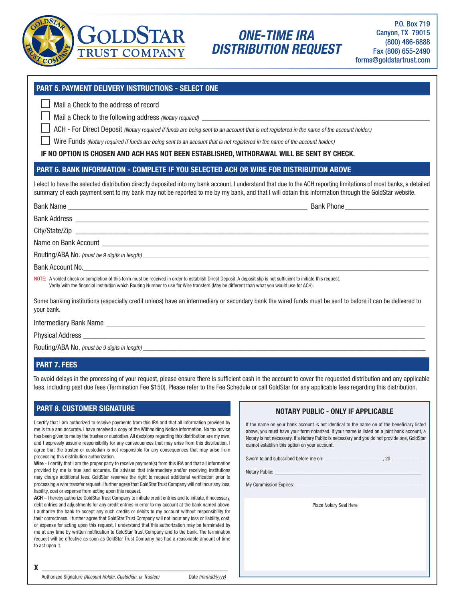

# ONE-TIME IRA DISTRIBUTION REQUEST

## PART 5. PAYMENT DELIVERY INSTRUCTIONS - SELECT ONE

Mail a Check to the address of record

Mail a Check to the following address (Notary required) \_\_\_\_\_\_\_\_\_\_\_\_\_\_\_\_\_\_\_\_\_\_\_\_

ACH - For Direct Deposit (Notary required if funds are being sent to an account that is not registered in the name of the account holder.)

Wire Funds (Notary required if funds are being sent to an account that is not registered in the name of the account holder.)

IF NO OPTION IS CHOSEN AND ACH HAS NOT BEEN ESTABLISHED, WITHDRAWAL WILL BE SENT BY CHECK.

## PART 6. BANK INFORMATION - COMPLETE IF YOU SELECTED ACH OR WIRE FOR DISTRIBUTION ABOVE

I elect to have the selected distribution directly deposited into my bank account. I understand that due to the ACH reporting limitations of most banks, a detailed summary of each payment sent to my bank may not be reported to me by my bank, and that I will obtain this information through the GoldStar website.

#### Bank Name \_\_\_\_\_\_\_\_\_\_\_\_\_\_\_\_\_\_\_\_\_\_\_\_\_\_\_\_\_\_\_\_\_\_\_\_\_\_\_\_\_\_\_\_\_\_\_\_\_\_\_\_\_\_\_\_\_\_\_\_\_\_\_ Bank Phone\_\_\_\_\_\_\_\_\_\_\_\_\_\_\_\_\_\_\_\_\_\_

Bank Address \_\_\_\_\_\_\_\_\_\_\_\_\_\_\_\_\_\_\_\_\_\_\_\_\_\_\_\_\_\_\_\_\_\_\_\_\_\_\_\_\_\_\_\_\_\_\_\_\_\_\_\_\_\_\_\_\_\_\_\_\_\_\_\_\_\_\_\_\_\_\_\_\_\_\_\_\_\_\_\_\_\_\_\_\_\_\_\_\_\_\_\_\_

City/State/Zip \_\_\_\_\_\_\_\_\_\_\_\_\_\_\_\_\_\_\_\_\_\_\_\_\_\_\_\_\_\_\_\_\_\_\_\_\_\_\_\_\_\_\_\_\_\_\_\_\_\_\_\_\_\_\_\_\_\_\_\_\_\_\_\_\_\_\_\_\_\_\_\_\_\_\_\_\_\_\_\_\_\_\_\_\_\_\_\_\_\_\_\_\_

Name on Bank Account

Routing/ABA No. (must be 9 digits in length) \_\_\_\_\_\_\_\_\_\_\_\_\_\_\_\_\_\_\_\_\_\_\_\_\_\_\_\_\_\_\_\_\_\_\_\_\_\_\_\_\_\_\_\_\_\_\_\_\_\_\_\_\_\_\_\_\_\_\_\_\_\_\_\_\_\_\_\_\_\_\_\_\_\_\_\_\_\_\_\_\_\_\_\_\_\_\_\_\_\_\_\_\_\_

Bank Account No.

NOTE: A voided check or completion of this form must be received in order to establish Direct Deposit. A deposit slip is not sufficient to initiate this request. Verify with the financial institution which Routing Number to use for Wire transfers (May be different than what you would use for ACH).

Some banking institutions (especially credit unions) have an intermediary or secondary bank the wired funds must be sent to before it can be delivered to your bank.

Intermediary Bank Name **Law and Security Contains a structure of the structure of the structure of the structure of the structure of the structure of the structure of the structure of the structure of the structure of the** 

Physical Address

Routing/ABA No. (must be 9 digits in length)

## PART 7. FEES

To avoid delays in the processing of your request, please ensure there is sufficient cash in the account to cover the requested distribution and any applicable fees, including past due fees (Termination Fee \$150). Please refer to the Fee Schedule or call GoldStar for any applicable fees regarding this distribution.

### PART 8. CUSTOMER SIGNATURE

I certify that I am authorized to receive payments from this IRA and that all information provided by me is true and accurate. I have received a copy of the Withholding Notice information. No tax advice has been given to me by the trustee or custodian. All decisions regarding this distribution are my own, and I expressly assume responsibility for any consequences that may arise from this distribution. I agree that the trustee or custodian is not responsible for any consequences that may arise from processing this distribution authorization.

Wire - I certify that I am the proper party to receive payment(s) from this IRA and that all information provided by me is true and accurate. Be advised that intermediary and/or receiving institutions may charge additional fees. GoldStar reserves the right to request additional verification prior to processing a wire transfer request. I further agree that GoldStar Trust Company will not incur any loss, liability, cost or expense from acting upon this request.

ACH - I hereby authorize GoldStar Trust Company to initiate credit entries and to initiate, if necessary, debt entries and adjustments for any credit entries in error to my account at the bank named above. I authorize the bank to accept any such credits or debits to my account without responsibility for their correctness. I further agree that GoldStar Trust Company will not incur any loss or liability, cost, or expense for acting upon this request. I understand that this authorization may be terminated by me at any time by written notification to GoldStar Trust Company and to the bank. The termination request will be effective as soon as GoldStar Trust Company has had a reasonable amount of time to act upon it.

## NOTARY PUBLIC - ONLY IF APPLICABLE

| If the name on your bank account is not identical to the name on of the beneficiary listed    |
|-----------------------------------------------------------------------------------------------|
| above, you must have your form notarized. If your name is listed on a joint bank account, a   |
| Notary is not necessary. If a Notary Public is necessary and you do not provide one, GoldStar |
| cannot establish this option on your account.                                                 |
|                                                                                               |

Sworn to and subscribed before me on:  $\sim$  ... 20

Notary Public:

My Commission Expires:

Place Notary Seal Here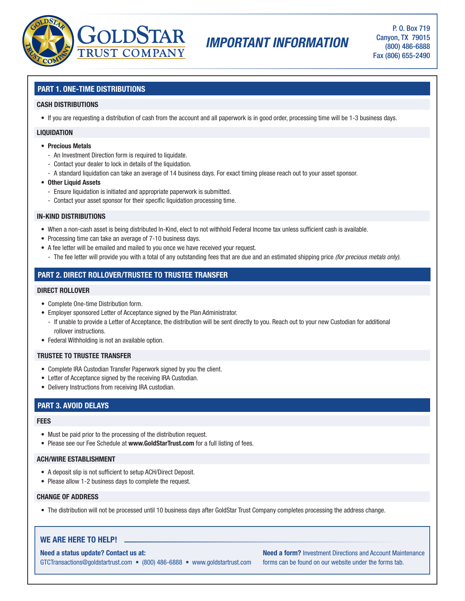

# IMPORTANT INFORMATION

## PART 1. ONE-TIME DISTRIBUTIONS

#### CASH DISTRIBUTIONS

• If you are requesting a distribution of cash from the account and all paperwork is in good order, processing time will be 1-3 business days.

#### **LIQUIDATION**

- Precious Metals
	- An Investment Direction form is required to liquidate.
	- Contact your dealer to lock in details of the liquidation.
	- A standard liquidation can take an average of 14 business days. For exact timing please reach out to your asset sponsor.
- Other Liquid Assets
	- Ensure liquidation is initiated and appropriate paperwork is submitted.
	- Contact your asset sponsor for their specific liquidation processing time.

#### IN-KIND DISTRIBUTIONS

- When a non-cash asset is being distributed In-Kind, elect to not withhold Federal Income tax unless sufficient cash is available.
- Processing time can take an average of 7-10 business days.
- A fee letter will be emailed and mailed to you once we have received your request.
	- The fee letter will provide you with a total of any outstanding fees that are due and an estimated shipping price (for precious metals only).

## PART 2. DIRECT ROLLOVER/TRUSTEE TO TRUSTEE TRANSFER

#### DIRECT ROLLOVER

- Complete One-time Distribution form.
- Employer sponsored Letter of Acceptance signed by the Plan Administrator.
	- If unable to provide a Letter of Acceptance, the distribution will be sent directly to you. Reach out to your new Custodian for additional rollover instructions.
- Federal Withholding is not an available option.

#### TRUSTEE TO TRUSTEE TRANSFER

- Complete IRA Custodian Transfer Paperwork signed by you the client.
- Letter of Acceptance signed by the receiving IRA Custodian.
- Delivery Instructions from receiving IRA custodian.

### PART 3. AVOID DELAYS

#### **FEES**

- Must be paid prior to the processing of the distribution request.
- Please see our Fee Schedule at www.GoldStarTrust.com for a full listing of fees.

#### ACH/WIRE ESTABLISHMENT

- A deposit slip is not sufficient to setup ACH/Direct Deposit.
- Please allow 1-2 business days to complete the request.

#### CHANGE OF ADDRESS

• The distribution will not be processed until 10 business days after GoldStar Trust Company completes processing the address change.

### WE ARE HERE TO HELP!

Need a status update? Contact us at:

GTCTransactions@goldstartrust.com • (800) 486-6888 • www.goldstartrust.com

Need a form? Investment Directions and Account Maintenance forms can be found on our website under the forms tab.